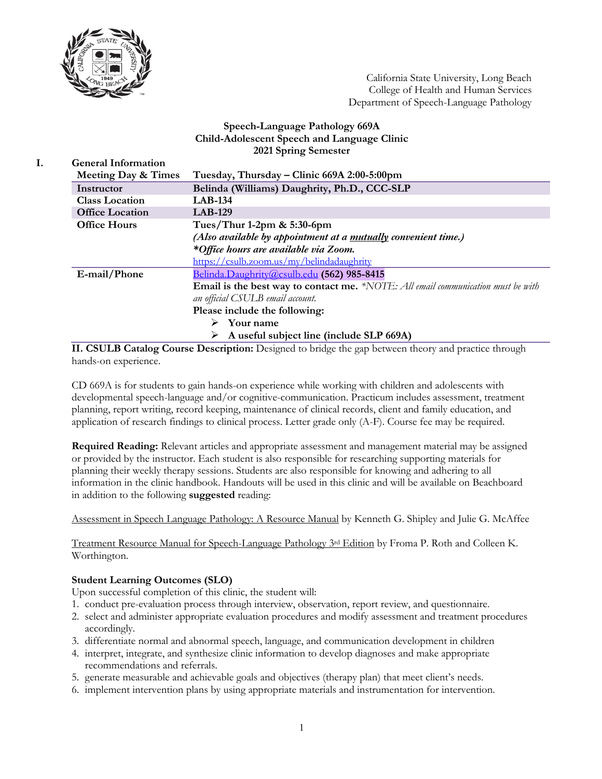

California State University, Long Beach College of Health and Human Services Department of Speech-Language Pathology

### **Speech-Language Pathology 669A Child-Adolescent Speech and Language Clinic 2021 Spring Semester**

|  | <b>General Information</b>                                                                                                                     |                                                                                  |  |  |
|--|------------------------------------------------------------------------------------------------------------------------------------------------|----------------------------------------------------------------------------------|--|--|
|  | Meeting Day & Times                                                                                                                            | Tuesday, Thursday - Clinic 669A 2:00-5:00pm                                      |  |  |
|  | Instructor                                                                                                                                     | Belinda (Williams) Daughrity, Ph.D., CCC-SLP                                     |  |  |
|  | <b>Class Location</b>                                                                                                                          | <b>LAB-134</b>                                                                   |  |  |
|  | <b>Office Location</b>                                                                                                                         | <b>LAB-129</b>                                                                   |  |  |
|  | <b>Office Hours</b>                                                                                                                            | Tues/Thur 1-2pm $& 5:30$ -6pm                                                    |  |  |
|  |                                                                                                                                                | (Also available by appointment at a <u>mutually</u> convenient time.)            |  |  |
|  |                                                                                                                                                | *Office hours are available via Zoom.                                            |  |  |
|  |                                                                                                                                                | https://csulb.zoom.us/my/belindadaughrity                                        |  |  |
|  | E-mail/Phone                                                                                                                                   | Belinda.Daughrity@csulb.edu (562) 985-8415                                       |  |  |
|  |                                                                                                                                                | Email is the best way to contact me. *NOTE: All email communication must be with |  |  |
|  |                                                                                                                                                | an official CSULB email account.                                                 |  |  |
|  |                                                                                                                                                | Please include the following:                                                    |  |  |
|  |                                                                                                                                                | $\triangleright$ Your name                                                       |  |  |
|  |                                                                                                                                                | $\triangleright$ A useful subject line (include SLP 669A)                        |  |  |
|  | $\mathbf{r}$ $\mathbf{r}$ $\mathbf{r}$ $\mathbf{r}$ $\mathbf{r}$ $\mathbf{r}$ $\mathbf{r}$ $\mathbf{r}$ $\mathbf{r}$ $\mathbf{r}$ $\mathbf{r}$ |                                                                                  |  |  |

**II. CSULB Catalog Course Description:** Designed to bridge the gap between theory and practice through hands-on experience.

CD 669A is for students to gain hands-on experience while working with children and adolescents with developmental speech-language and/or cognitive-communication. Practicum includes assessment, treatment planning, report writing, record keeping, maintenance of clinical records, client and family education, and application of research findings to clinical process. Letter grade only (A-F). Course fee may be required.

**Required Reading:** Relevant articles and appropriate assessment and management material may be assigned or provided by the instructor. Each student is also responsible for researching supporting materials for planning their weekly therapy sessions. Students are also responsible for knowing and adhering to all information in the clinic handbook. Handouts will be used in this clinic and will be available on Beachboard in addition to the following **suggested** reading:

Assessment in Speech Language Pathology: A Resource Manual by Kenneth G. Shipley and Julie G. McAffee

Treatment Resource Manual for Speech-Language Pathology 3<sup>rd</sup> Edition by Froma P. Roth and Colleen K. Worthington.

# **Student Learning Outcomes (SLO)**

Upon successful completion of this clinic, the student will:

- 1. conduct pre-evaluation process through interview, observation, report review, and questionnaire.
- 2. select and administer appropriate evaluation procedures and modify assessment and treatment procedures accordingly.
- 3. differentiate normal and abnormal speech, language, and communication development in children
- 4. interpret, integrate, and synthesize clinic information to develop diagnoses and make appropriate recommendations and referrals.
- 5. generate measurable and achievable goals and objectives (therapy plan) that meet client's needs.
- 6. implement intervention plans by using appropriate materials and instrumentation for intervention.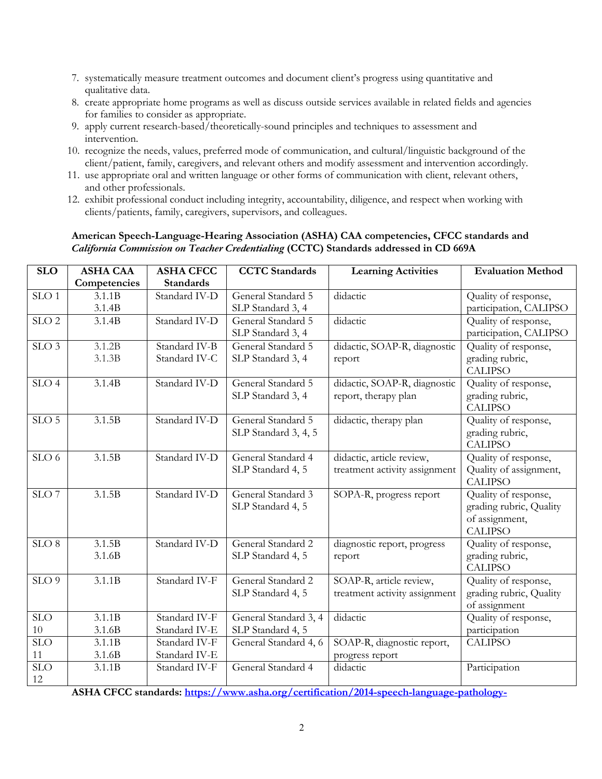- 7. systematically measure treatment outcomes and document client's progress using quantitative and qualitative data.
- 8. create appropriate home programs as well as discuss outside services available in related fields and agencies for families to consider as appropriate.
- 9. apply current research-based/theoretically-sound principles and techniques to assessment and intervention.
- 10. recognize the needs, values, preferred mode of communication, and cultural/linguistic background of the client/patient, family, caregivers, and relevant others and modify assessment and intervention accordingly.
- 11. use appropriate oral and written language or other forms of communication with client, relevant others, and other professionals.
- 12. exhibit professional conduct including integrity, accountability, diligence, and respect when working with clients/patients, family, caregivers, supervisors, and colleagues.

# **American Speech-Language-Hearing Association (ASHA) CAA competencies, CFCC standards and**  *California Commission on Teacher Credentialing* **(CCTC) Standards addressed in CD 669A**

| <b>SLO</b>       | <b>ASHA CAA</b> | <b>ASHA CFCC</b> | <b>CCTC</b> Standards | <b>Learning Activities</b>    | <b>Evaluation Method</b>          |
|------------------|-----------------|------------------|-----------------------|-------------------------------|-----------------------------------|
|                  | Competencies    | <b>Standards</b> |                       |                               |                                   |
| SLO <sub>1</sub> | 3.1.1B          | Standard IV-D    | General Standard 5    | didactic                      | Quality of response,              |
|                  | 3.1.4B          |                  | SLP Standard 3, 4     |                               | participation, CALIPSO            |
| SLO <sub>2</sub> | 3.1.4B          | Standard IV-D    | General Standard 5    | didactic                      | Quality of response,              |
|                  |                 |                  | SLP Standard 3, 4     |                               | participation, CALIPSO            |
| SLO <sub>3</sub> | 3.1.2B          | Standard IV-B    | General Standard 5    | didactic, SOAP-R, diagnostic  | Quality of response,              |
|                  | 3.1.3B          | Standard IV-C    | SLP Standard 3, 4     | report                        | grading rubric,<br><b>CALIPSO</b> |
| SLO <sub>4</sub> | 3.1.4B          | Standard IV-D    | General Standard 5    | didactic, SOAP-R, diagnostic  | Quality of response,              |
|                  |                 |                  | SLP Standard 3, 4     | report, therapy plan          | grading rubric,                   |
|                  |                 |                  |                       |                               | <b>CALIPSO</b>                    |
| SLO <sub>5</sub> | 3.1.5B          | Standard IV-D    | General Standard 5    | didactic, therapy plan        | Quality of response,              |
|                  |                 |                  | SLP Standard 3, 4, 5  |                               | grading rubric,                   |
|                  |                 |                  |                       |                               | <b>CALIPSO</b>                    |
| SLO <sub>6</sub> | 3.1.5B          | Standard IV-D    | General Standard 4    | didactic, article review,     | Quality of response,              |
|                  |                 |                  | SLP Standard 4, 5     | treatment activity assignment | Quality of assignment,            |
|                  |                 |                  |                       |                               | <b>CALIPSO</b>                    |
| SLO <sub>7</sub> | 3.1.5B          | Standard IV-D    | General Standard 3    | SOPA-R, progress report       | Quality of response,              |
|                  |                 |                  | SLP Standard 4, 5     |                               | grading rubric, Quality           |
|                  |                 |                  |                       |                               | of assignment,                    |
|                  |                 |                  |                       |                               | <b>CALIPSO</b>                    |
| $SLO$ 8          | 3.1.5B          | Standard IV-D    | General Standard 2    | diagnostic report, progress   | Quality of response,              |
|                  | 3.1.6B          |                  | SLP Standard 4, 5     | report                        | grading rubric,<br><b>CALIPSO</b> |
| SLO <sub>9</sub> | 3.1.1B          | Standard IV-F    | General Standard 2    | SOAP-R, article review,       | Quality of response,              |
|                  |                 |                  | SLP Standard 4, 5     | treatment activity assignment | grading rubric, Quality           |
|                  |                 |                  |                       |                               | of assignment                     |
| SLO              | 3.1.1B          | Standard IV-F    | General Standard 3, 4 | didactic                      | Quality of response,              |
| 10               | 3.1.6B          | Standard IV-E    | SLP Standard 4, 5     |                               | participation                     |
| <b>SLO</b>       | 3.1.1B          | Standard IV-F    | General Standard 4, 6 | SOAP-R, diagnostic report,    | <b>CALIPSO</b>                    |
| 11               | 3.1.6B          | Standard IV-E    |                       | progress report               |                                   |
| SLO              | 3.1.1B          | Standard IV-F    | General Standard 4    | didactic                      | Participation                     |
| 12               |                 |                  |                       |                               |                                   |

**ASHA CFCC standards: https://www.asha.org/certification/2014-speech-language-pathology-**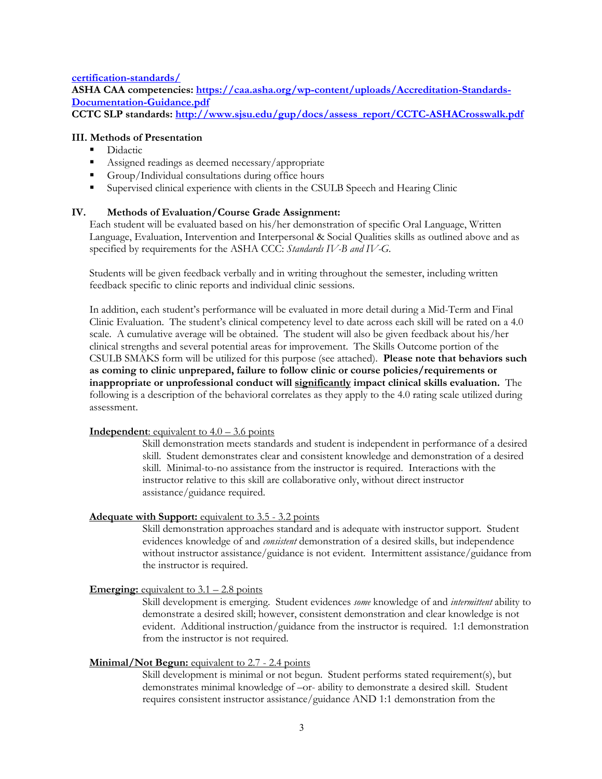**certification-standards/**

**ASHA CAA competencies: https://caa.asha.org/wp-content/uploads/Accreditation-Standards-Documentation-Guidance.pdf**

CCTC SLP standards: http://www.sjsu.edu/gup/docs/assess\_report/CCTC-ASHACrosswalk.pdf

### **III. Methods of Presentation**

- § Didactic
- Assigned readings as deemed necessary/appropriate
- Group/Individual consultations during office hours
- § Supervised clinical experience with clients in the CSULB Speech and Hearing Clinic

# **IV. Methods of Evaluation/Course Grade Assignment:**

Each student will be evaluated based on his/her demonstration of specific Oral Language, Written Language, Evaluation, Intervention and Interpersonal & Social Qualities skills as outlined above and as specified by requirements for the ASHA CCC: *Standards IV-B and IV-G*.

Students will be given feedback verbally and in writing throughout the semester, including written feedback specific to clinic reports and individual clinic sessions.

In addition, each student's performance will be evaluated in more detail during a Mid-Term and Final Clinic Evaluation. The student's clinical competency level to date across each skill will be rated on a 4.0 scale. A cumulative average will be obtained. The student will also be given feedback about his/her clinical strengths and several potential areas for improvement. The Skills Outcome portion of the CSULB SMAKS form will be utilized for this purpose (see attached). **Please note that behaviors such as coming to clinic unprepared, failure to follow clinic or course policies/requirements or inappropriate or unprofessional conduct will significantly impact clinical skills evaluation.** The following is a description of the behavioral correlates as they apply to the 4.0 rating scale utilized during assessment.

#### **Independent**: equivalent to  $4.0 - 3.6$  points

Skill demonstration meets standards and student is independent in performance of a desired skill. Student demonstrates clear and consistent knowledge and demonstration of a desired skill. Minimal-to-no assistance from the instructor is required. Interactions with the instructor relative to this skill are collaborative only, without direct instructor assistance/guidance required.

#### **Adequate with Support:** equivalent to 3.5 - 3.2 points

Skill demonstration approaches standard and is adequate with instructor support. Student evidences knowledge of and *consistent* demonstration of a desired skills, but independence without instructor assistance/guidance is not evident. Intermittent assistance/guidance from the instructor is required.

#### **Emerging:** equivalent to  $3.1 - 2.8$  points

Skill development is emerging. Student evidences *some* knowledge of and *intermittent* ability to demonstrate a desired skill; however, consistent demonstration and clear knowledge is not evident. Additional instruction/guidance from the instructor is required. 1:1 demonstration from the instructor is not required.

#### **Minimal/Not Begun:** equivalent to 2.7 - 2.4 points

Skill development is minimal or not begun. Student performs stated requirement(s), but demonstrates minimal knowledge of –or- ability to demonstrate a desired skill. Student requires consistent instructor assistance/guidance AND 1:1 demonstration from the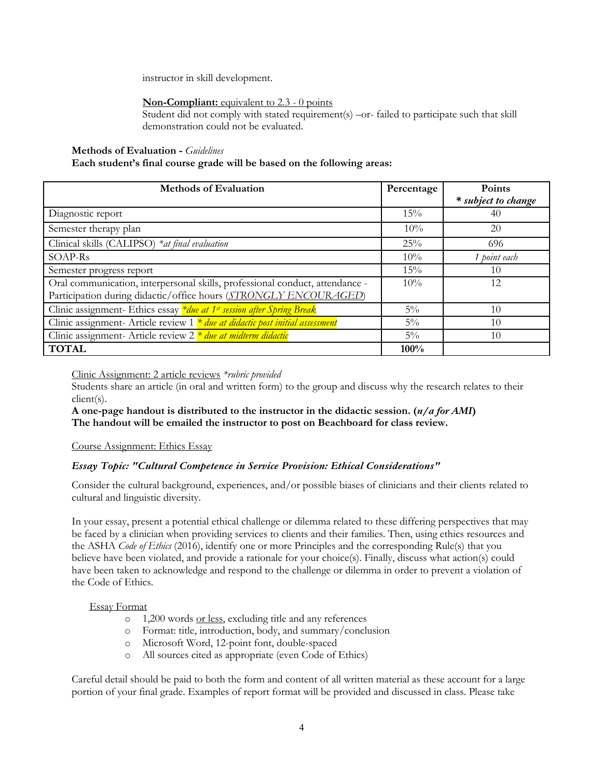instructor in skill development.

# **Non-Compliant:** equivalent to 2.3 - 0 points

Student did not comply with stated requirement(s) –or- failed to participate such that skill demonstration could not be evaluated.

### **Methods of Evaluation -** *Guidelines*

### **Each student's final course grade will be based on the following areas:**

| <b>Methods of Evaluation</b>                                                                                                                     | Percentage | <b>Points</b><br>* subject to change |
|--------------------------------------------------------------------------------------------------------------------------------------------------|------------|--------------------------------------|
| Diagnostic report                                                                                                                                | 15%        | 40                                   |
| Semester therapy plan                                                                                                                            | $10\%$     | 20                                   |
| Clinical skills (CALIPSO) *at final evaluation                                                                                                   | 25%        | 696                                  |
| SOAP-Rs                                                                                                                                          | $10\%$     | 1 point each                         |
| Semester progress report                                                                                                                         | 15%        | 10                                   |
| Oral communication, interpersonal skills, professional conduct, attendance -<br>Participation during didactic/office hours (STRONGLY ENCOURAGED) | $10\%$     | 12                                   |
| Clinic assignment- Ethics essay <i>*due at 1st session after Spring Break</i>                                                                    | $5\%$      | 10                                   |
| Clinic assignment- Article review $1 * du$ e at didactic post initial assessment                                                                 | $5\%$      | 10                                   |
| Clinic assignment- Article review $2 * due$ at midterm didactic                                                                                  | $5\%$      | 10                                   |
| <b>TOTAL</b>                                                                                                                                     | 100%       |                                      |

Clinic Assignment: 2 article reviews *\*rubric provided*

Students share an article (in oral and written form) to the group and discuss why the research relates to their client(s).

**A one-page handout is distributed to the instructor in the didactic session. (***n/a for AMI***) The handout will be emailed the instructor to post on Beachboard for class review.** 

# Course Assignment: Ethics Essay

# *Essay Topic: "Cultural Competence in Service Provision: Ethical Considerations"*

Consider the cultural background, experiences, and/or possible biases of clinicians and their clients related to cultural and linguistic diversity.

In your essay, present a potential ethical challenge or dilemma related to these differing perspectives that may be faced by a clinician when providing services to clients and their families. Then, using ethics resources and the ASHA *Code of Ethics* (2016), identify one or more Principles and the corresponding Rule(s) that you believe have been violated, and provide a rationale for your choice(s). Finally, discuss what action(s) could have been taken to acknowledge and respond to the challenge or dilemma in order to prevent a violation of the Code of Ethics.

# Essay Format

- o 1,200 words or less, excluding title and any references
- o Format: title, introduction, body, and summary/conclusion
- o Microsoft Word, 12-point font, double-spaced
- o All sources cited as appropriate (even Code of Ethics)

Careful detail should be paid to both the form and content of all written material as these account for a large portion of your final grade. Examples of report format will be provided and discussed in class. Please take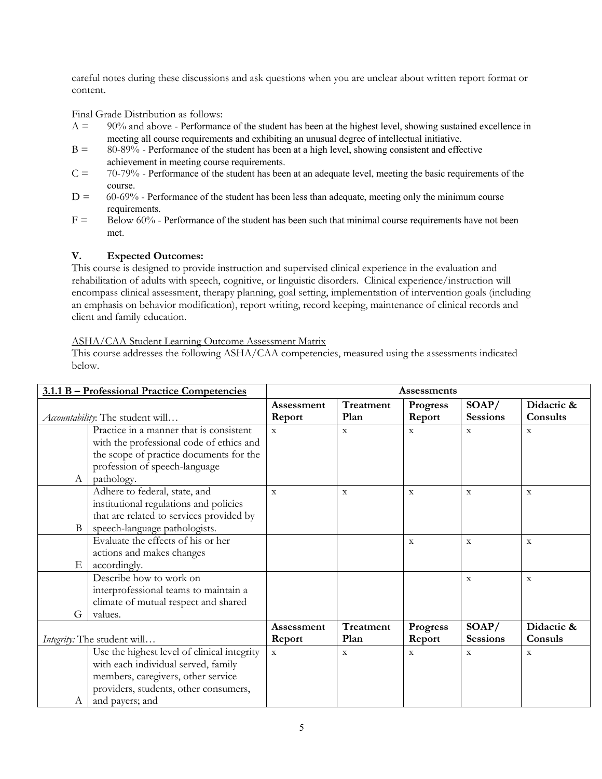careful notes during these discussions and ask questions when you are unclear about written report format or content.

Final Grade Distribution as follows:

- $A = 90\%$  and above Performance of the student has been at the highest level, showing sustained excellence in meeting all course requirements and exhibiting an unusual degree of intellectual initiative.
- $B = 80-89%$  Performance of the student has been at a high level, showing consistent and effective achievement in meeting course requirements.
- $C = 70-79%$  Performance of the student has been at an adequate level, meeting the basic requirements of the course.
- $D = 60-69\%$  Performance of the student has been less than adequate, meeting only the minimum course requirements.
- $F =$  Below 60% Performance of the student has been such that minimal course requirements have not been met.

# **V. Expected Outcomes:**

This course is designed to provide instruction and supervised clinical experience in the evaluation and rehabilitation of adults with speech, cognitive, or linguistic disorders. Clinical experience/instruction will encompass clinical assessment, therapy planning, goal setting, implementation of intervention goals (including an emphasis on behavior modification), report writing, record keeping, maintenance of clinical records and client and family education.

# ASHA/CAA Student Learning Outcome Assessment Matrix

This course addresses the following ASHA/CAA competencies, measured using the assessments indicated below.

|                 | 3.1.1 B - Professional Practice Competencies | <b>Assessments</b> |              |                 |                 |              |
|-----------------|----------------------------------------------|--------------------|--------------|-----------------|-----------------|--------------|
|                 |                                              | <b>Assessment</b>  | Treatment    | <b>Progress</b> | SOAP/           | Didactic &   |
|                 | Accountability: The student will             |                    | Plan         | Report          | <b>Sessions</b> | Consults     |
|                 | Practice in a manner that is consistent      | $\mathbf{x}$       | $\mathbf{x}$ | $\mathbf{x}$    | $\mathbf{x}$    | $\mathbf{x}$ |
|                 | with the professional code of ethics and     |                    |              |                 |                 |              |
|                 | the scope of practice documents for the      |                    |              |                 |                 |              |
|                 | profession of speech-language                |                    |              |                 |                 |              |
| A               | pathology.                                   |                    |              |                 |                 |              |
|                 | Adhere to federal, state, and                | $\overline{X}$     | $\mathbf X$  | $\mathbf x$     | $\mathbf X$     | $\mathbf X$  |
|                 | institutional regulations and policies       |                    |              |                 |                 |              |
|                 | that are related to services provided by     |                    |              |                 |                 |              |
| B               | speech-language pathologists.                |                    |              |                 |                 |              |
|                 | Evaluate the effects of his or her           |                    |              | $\mathbf X$     | $\mathbf X$     | $\mathbf X$  |
|                 | actions and makes changes                    |                    |              |                 |                 |              |
| $E_{\parallel}$ | accordingly.                                 |                    |              |                 |                 |              |
|                 | Describe how to work on                      |                    |              |                 | $\mathbf X$     | $\mathbf X$  |
|                 | interprofessional teams to maintain a        |                    |              |                 |                 |              |
|                 | climate of mutual respect and shared         |                    |              |                 |                 |              |
| G               | values.                                      |                    |              |                 |                 |              |
|                 |                                              | Assessment         | Treatment    | <b>Progress</b> | SOAP/           | Didactic &   |
|                 | Integrity: The student will                  | Report             | Plan         | Report          | <b>Sessions</b> | Consuls      |
|                 | Use the highest level of clinical integrity  | $\mathbf X$        | $\mathbf{x}$ | $\mathbf X$     | $\mathbf X$     | $\mathbf X$  |
|                 | with each individual served, family          |                    |              |                 |                 |              |
|                 | members, caregivers, other service           |                    |              |                 |                 |              |
|                 | providers, students, other consumers,        |                    |              |                 |                 |              |
| A               | and payers; and                              |                    |              |                 |                 |              |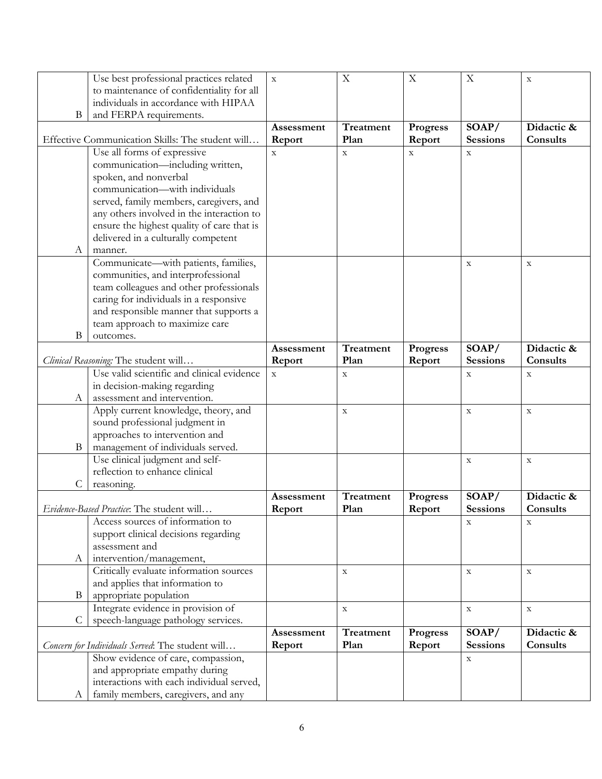|    | Use best professional practices related          | $\mathbf X$ | $\mathbf X$ | $\boldsymbol{\mathrm{X}}$ | $\mathbf X$     | $\mathbf X$ |
|----|--------------------------------------------------|-------------|-------------|---------------------------|-----------------|-------------|
|    | to maintenance of confidentiality for all        |             |             |                           |                 |             |
|    | individuals in accordance with HIPAA             |             |             |                           |                 |             |
| B  | and FERPA requirements.                          |             |             |                           |                 |             |
|    |                                                  | Assessment  | Treatment   | Progress                  | SOAP/           | Didactic &  |
|    | Effective Communication Skills: The student will | Report      | Plan        | Report                    | <b>Sessions</b> | Consults    |
|    | Use all forms of expressive                      | $\mathbf X$ | $\mathbf X$ | $\mathbf X$               | $\mathbf X$     |             |
|    | communication-including written,                 |             |             |                           |                 |             |
|    | spoken, and nonverbal                            |             |             |                           |                 |             |
|    | communication-with individuals                   |             |             |                           |                 |             |
|    | served, family members, caregivers, and          |             |             |                           |                 |             |
|    | any others involved in the interaction to        |             |             |                           |                 |             |
|    | ensure the highest quality of care that is       |             |             |                           |                 |             |
|    | delivered in a culturally competent              |             |             |                           |                 |             |
|    |                                                  |             |             |                           |                 |             |
| A  | manner.                                          |             |             |                           |                 |             |
|    | Communicate—with patients, families,             |             |             |                           | $\mathbf X$     | $\mathbf X$ |
|    | communities, and interprofessional               |             |             |                           |                 |             |
|    | team colleagues and other professionals          |             |             |                           |                 |             |
|    | caring for individuals in a responsive           |             |             |                           |                 |             |
|    | and responsible manner that supports a           |             |             |                           |                 |             |
|    | team approach to maximize care                   |             |             |                           |                 |             |
| B  | outcomes.                                        |             |             |                           |                 |             |
|    |                                                  | Assessment  | Treatment   | <b>Progress</b>           | SOAP/           | Didactic &  |
|    | Clinical Reasoning: The student will             | Report      | Plan        | Report                    | <b>Sessions</b> | Consults    |
|    | Use valid scientific and clinical evidence       | $\mathbf X$ | $\mathbf X$ |                           | $\mathbf X$     | $\mathbf X$ |
|    | in decision-making regarding                     |             |             |                           |                 |             |
| A  | assessment and intervention.                     |             |             |                           |                 |             |
|    | Apply current knowledge, theory, and             |             | $\mathbf X$ |                           | $\mathbf X$     | $\mathbf X$ |
|    | sound professional judgment in                   |             |             |                           |                 |             |
|    | approaches to intervention and                   |             |             |                           |                 |             |
| B  | management of individuals served.                |             |             |                           |                 |             |
|    | Use clinical judgment and self-                  |             |             |                           |                 |             |
|    |                                                  |             |             |                           | $\mathbf X$     | $\mathbf X$ |
|    | reflection to enhance clinical                   |             |             |                           |                 |             |
| C  | reasoning.                                       |             |             |                           |                 |             |
|    |                                                  | Assessment  | Treatment   | Progress                  | SOAP/           | Didactic &  |
|    | Evidence-Based Practice: The student will        | Report      | Plan        | Report                    | <b>Sessions</b> | Consults    |
|    | Access sources of information to                 |             |             |                           | $\mathbf X$     | $\mathbf X$ |
|    | support clinical decisions regarding             |             |             |                           |                 |             |
|    | assessment and                                   |             |             |                           |                 |             |
| A  | intervention/management,                         |             |             |                           |                 |             |
|    | Critically evaluate information sources          |             | $\mathbf X$ |                           | $\mathbf X$     | $\mathbf X$ |
|    | and applies that information to                  |             |             |                           |                 |             |
| B  | appropriate population                           |             |             |                           |                 |             |
|    | Integrate evidence in provision of               |             | $\mathbf X$ |                           | $\mathbf X$     | $\mathbf X$ |
| C. | speech-language pathology services.              |             |             |                           |                 |             |
|    |                                                  | Assessment  | Treatment   | <b>Progress</b>           | SOAP/           | Didactic &  |
|    | Concern for Individuals Served: The student will | Report      | Plan        | Report                    | <b>Sessions</b> | Consults    |
|    | Show evidence of care, compassion,               |             |             |                           | $\mathbf X$     |             |
|    | and appropriate empathy during                   |             |             |                           |                 |             |
|    | interactions with each individual served,        |             |             |                           |                 |             |
| А  | family members, caregivers, and any              |             |             |                           |                 |             |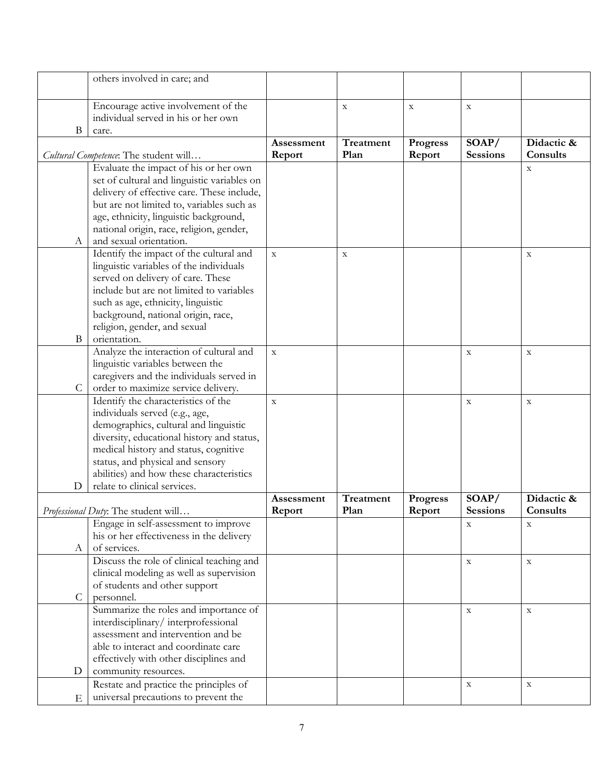|              | others involved in care; and                                                       |               |             |                           |                           |             |
|--------------|------------------------------------------------------------------------------------|---------------|-------------|---------------------------|---------------------------|-------------|
|              |                                                                                    |               |             |                           |                           |             |
|              | Encourage active involvement of the                                                |               | $\mathbf X$ | $\boldsymbol{\mathrm{X}}$ | $\mathbf X$               |             |
|              | individual served in his or her own                                                |               |             |                           |                           |             |
| B            | care.                                                                              |               |             |                           |                           |             |
|              |                                                                                    | Assessment    | Treatment   | <b>Progress</b>           | SOAP/                     | Didactic &  |
|              | Cultural Competence: The student will                                              | Report        | Plan        | Report                    | <b>Sessions</b>           | Consults    |
|              | Evaluate the impact of his or her own                                              |               |             |                           |                           | $\mathbf X$ |
|              | set of cultural and linguistic variables on                                        |               |             |                           |                           |             |
|              | delivery of effective care. These include,                                         |               |             |                           |                           |             |
|              | but are not limited to, variables such as                                          |               |             |                           |                           |             |
|              | age, ethnicity, linguistic background,<br>national origin, race, religion, gender, |               |             |                           |                           |             |
| A            | and sexual orientation.                                                            |               |             |                           |                           |             |
|              | Identify the impact of the cultural and                                            | $\mathbf X$   | $\mathbf X$ |                           |                           | X           |
|              | linguistic variables of the individuals                                            |               |             |                           |                           |             |
|              | served on delivery of care. These                                                  |               |             |                           |                           |             |
|              | include but are not limited to variables                                           |               |             |                           |                           |             |
|              | such as age, ethnicity, linguistic                                                 |               |             |                           |                           |             |
|              | background, national origin, race,                                                 |               |             |                           |                           |             |
|              | religion, gender, and sexual                                                       |               |             |                           |                           |             |
| $\mathbf{B}$ | orientation.                                                                       |               |             |                           |                           |             |
|              | Analyze the interaction of cultural and                                            | $\mathbf X$   |             |                           | $\mathbf X$               | $\mathbf X$ |
|              | linguistic variables between the                                                   |               |             |                           |                           |             |
| $\mathsf{C}$ | caregivers and the individuals served in                                           |               |             |                           |                           |             |
|              | order to maximize service delivery.<br>Identify the characteristics of the         |               |             |                           |                           |             |
|              | individuals served (e.g., age,                                                     | $\mathbf X$   |             |                           | $\mathbf X$               | $\mathbf X$ |
|              | demographics, cultural and linguistic                                              |               |             |                           |                           |             |
|              | diversity, educational history and status,                                         |               |             |                           |                           |             |
|              | medical history and status, cognitive                                              |               |             |                           |                           |             |
|              | status, and physical and sensory                                                   |               |             |                           |                           |             |
|              | abilities) and how these characteristics                                           |               |             |                           |                           |             |
| D            | relate to clinical services.                                                       |               |             |                           |                           |             |
|              |                                                                                    | Assessment    | Treatment   | <b>Progress</b>           | SOAP/                     | Didactic &  |
|              | Professional Duty: The student will                                                | <b>Report</b> | Plan        | <b>Report</b>             | <b>Sessions</b>           | Consults    |
|              | Engage in self-assessment to improve                                               |               |             |                           | $\boldsymbol{\mathrm{X}}$ | $\mathbf X$ |
|              | his or her effectiveness in the delivery                                           |               |             |                           |                           |             |
| А            | of services.                                                                       |               |             |                           |                           |             |
|              | Discuss the role of clinical teaching and                                          |               |             |                           | $\mathbf X$               | $\mathbf X$ |
|              | clinical modeling as well as supervision                                           |               |             |                           |                           |             |
| $\mathsf{C}$ | of students and other support<br>personnel.                                        |               |             |                           |                           |             |
|              | Summarize the roles and importance of                                              |               |             |                           | $\mathbf X$               | $\mathbf X$ |
|              | interdisciplinary/interprofessional                                                |               |             |                           |                           |             |
|              | assessment and intervention and be                                                 |               |             |                           |                           |             |
|              | able to interact and coordinate care                                               |               |             |                           |                           |             |
|              | effectively with other disciplines and                                             |               |             |                           |                           |             |
| D            | community resources.                                                               |               |             |                           |                           |             |
|              | Restate and practice the principles of                                             |               |             |                           | $\mathbf X$               | $\mathbf X$ |
| Ε            | universal precautions to prevent the                                               |               |             |                           |                           |             |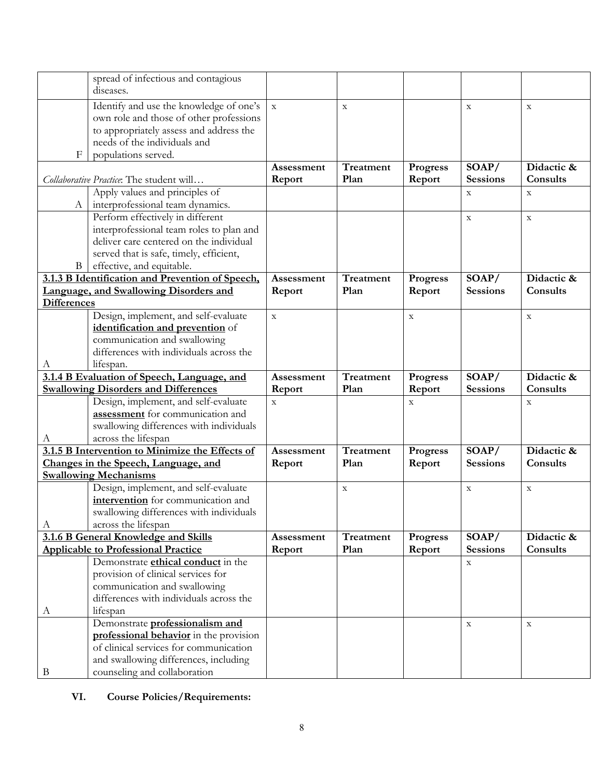|                    | spread of infectious and contagious                                   |             |                  |                 |                 |             |
|--------------------|-----------------------------------------------------------------------|-------------|------------------|-----------------|-----------------|-------------|
|                    | diseases.                                                             |             |                  |                 |                 |             |
|                    |                                                                       |             |                  |                 |                 |             |
|                    | Identify and use the knowledge of one's                               | $\mathbf X$ | $\mathbf X$      |                 | $\mathbf X$     | $\mathbf X$ |
|                    | own role and those of other professions                               |             |                  |                 |                 |             |
|                    | to appropriately assess and address the                               |             |                  |                 |                 |             |
|                    | needs of the individuals and                                          |             |                  |                 |                 |             |
| F                  | populations served.                                                   |             |                  |                 |                 |             |
|                    |                                                                       | Assessment  | Treatment        | <b>Progress</b> | SOAP/           | Didactic &  |
|                    | Collaborative Practice: The student will                              | Report      | Plan             | Report          | <b>Sessions</b> | Consults    |
|                    | Apply values and principles of                                        |             |                  |                 | X               | X           |
| A                  | interprofessional team dynamics.                                      |             |                  |                 |                 |             |
|                    | Perform effectively in different                                      |             |                  |                 | $\mathbf X$     | $\mathbf X$ |
|                    | interprofessional team roles to plan and                              |             |                  |                 |                 |             |
|                    | deliver care centered on the individual                               |             |                  |                 |                 |             |
|                    | served that is safe, timely, efficient,                               |             |                  |                 |                 |             |
| $\mathbf{B}$       | effective, and equitable.                                             |             |                  |                 |                 |             |
|                    | 3.1.3 B Identification and Prevention of Speech,                      | Assessment  | Treatment        | <b>Progress</b> | SOAP/           | Didactic &  |
|                    | Language, and Swallowing Disorders and                                | Report      | Plan             | Report          | <b>Sessions</b> | Consults    |
| <b>Differences</b> |                                                                       |             |                  |                 |                 |             |
|                    | Design, implement, and self-evaluate                                  | $\mathbf X$ |                  | $\mathbf X$     |                 | $\mathbf X$ |
|                    | identification and prevention of                                      |             |                  |                 |                 |             |
|                    | communication and swallowing                                          |             |                  |                 |                 |             |
|                    | differences with individuals across the                               |             |                  |                 |                 |             |
| A                  | lifespan.                                                             |             |                  |                 |                 |             |
|                    |                                                                       | Assessment  | <b>Treatment</b> | <b>Progress</b> | SOAP/           | Didactic &  |
|                    | 3.1.4 B Evaluation of Speech, Language, and                           |             |                  |                 |                 |             |
|                    |                                                                       |             |                  |                 |                 |             |
|                    | <b>Swallowing Disorders and Differences</b>                           | Report      | Plan             | Report          | <b>Sessions</b> | Consults    |
|                    | Design, implement, and self-evaluate                                  | $\mathbf X$ |                  | $\mathbf X$     |                 | $\mathbf X$ |
|                    | assessment for communication and                                      |             |                  |                 |                 |             |
|                    | swallowing differences with individuals                               |             |                  |                 |                 |             |
| A                  | across the lifespan                                                   |             |                  |                 |                 |             |
|                    | 3.1.5 B Intervention to Minimize the Effects of                       | Assessment  | Treatment        | <b>Progress</b> | SOAP/           | Didactic &  |
|                    | Changes in the Speech, Language, and                                  | Report      | Plan             | Report          | <b>Sessions</b> | Consults    |
|                    | <b>Swallowing Mechanisms</b>                                          |             |                  |                 |                 |             |
|                    | Design, implement, and self-evaluate                                  |             | $\mathbf X$      |                 | $\mathbf X$     | $\mathbf X$ |
|                    | intervention for communication and                                    |             |                  |                 |                 |             |
|                    | swallowing differences with individuals                               |             |                  |                 |                 |             |
| А                  | across the lifespan                                                   |             |                  |                 |                 |             |
|                    | 3.1.6 B General Knowledge and Skills                                  | Assessment  | Treatment        | Progress        | SOAP/           | Didactic &  |
|                    | <b>Applicable to Professional Practice</b>                            | Report      | Plan             | Report          | <b>Sessions</b> | Consults    |
|                    | Demonstrate <i>ethical</i> conduct in the                             |             |                  |                 | $\mathbf X$     |             |
|                    | provision of clinical services for                                    |             |                  |                 |                 |             |
|                    | communication and swallowing                                          |             |                  |                 |                 |             |
|                    | differences with individuals across the                               |             |                  |                 |                 |             |
| A                  | lifespan                                                              |             |                  |                 |                 |             |
|                    | Demonstrate professionalism and                                       |             |                  |                 | $\mathbf X$     | $\mathbf X$ |
|                    | professional behavior in the provision                                |             |                  |                 |                 |             |
|                    | of clinical services for communication                                |             |                  |                 |                 |             |
| B                  | and swallowing differences, including<br>counseling and collaboration |             |                  |                 |                 |             |

# **VI. Course Policies/Requirements:**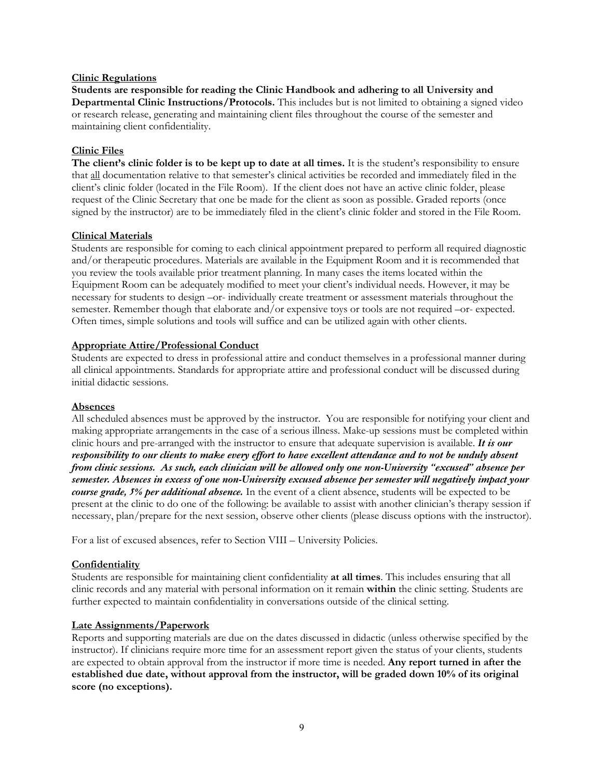### **Clinic Regulations**

**Students are responsible for reading the Clinic Handbook and adhering to all University and Departmental Clinic Instructions/Protocols.** This includes but is not limited to obtaining a signed video or research release, generating and maintaining client files throughout the course of the semester and maintaining client confidentiality.

### **Clinic Files**

**The client's clinic folder is to be kept up to date at all times.** It is the student's responsibility to ensure that all documentation relative to that semester's clinical activities be recorded and immediately filed in the client's clinic folder (located in the File Room). If the client does not have an active clinic folder, please request of the Clinic Secretary that one be made for the client as soon as possible. Graded reports (once signed by the instructor) are to be immediately filed in the client's clinic folder and stored in the File Room.

### **Clinical Materials**

Students are responsible for coming to each clinical appointment prepared to perform all required diagnostic and/or therapeutic procedures. Materials are available in the Equipment Room and it is recommended that you review the tools available prior treatment planning. In many cases the items located within the Equipment Room can be adequately modified to meet your client's individual needs. However, it may be necessary for students to design –or- individually create treatment or assessment materials throughout the semester. Remember though that elaborate and/or expensive toys or tools are not required –or- expected. Often times, simple solutions and tools will suffice and can be utilized again with other clients.

### **Appropriate Attire/Professional Conduct**

Students are expected to dress in professional attire and conduct themselves in a professional manner during all clinical appointments. Standards for appropriate attire and professional conduct will be discussed during initial didactic sessions.

#### **Absences**

All scheduled absences must be approved by the instructor. You are responsible for notifying your client and making appropriate arrangements in the case of a serious illness. Make-up sessions must be completed within clinic hours and pre-arranged with the instructor to ensure that adequate supervision is available. *It is our responsibility to our clients to make every effort to have excellent attendance and to not be unduly absent from clinic sessions. As such, each clinician will be allowed only one non-University "excused" absence per semester. Absences in excess of one non-University excused absence per semester will negatively impact your course grade, 5% per additional absence.* In the event of a client absence, students will be expected to be present at the clinic to do one of the following: be available to assist with another clinician's therapy session if necessary, plan/prepare for the next session, observe other clients (please discuss options with the instructor).

For a list of excused absences, refer to Section VIII – University Policies.

#### **Confidentiality**

Students are responsible for maintaining client confidentiality **at all times**. This includes ensuring that all clinic records and any material with personal information on it remain **within** the clinic setting. Students are further expected to maintain confidentiality in conversations outside of the clinical setting.

#### **Late Assignments/Paperwork**

Reports and supporting materials are due on the dates discussed in didactic (unless otherwise specified by the instructor). If clinicians require more time for an assessment report given the status of your clients, students are expected to obtain approval from the instructor if more time is needed. **Any report turned in after the established due date, without approval from the instructor, will be graded down 10% of its original score (no exceptions).**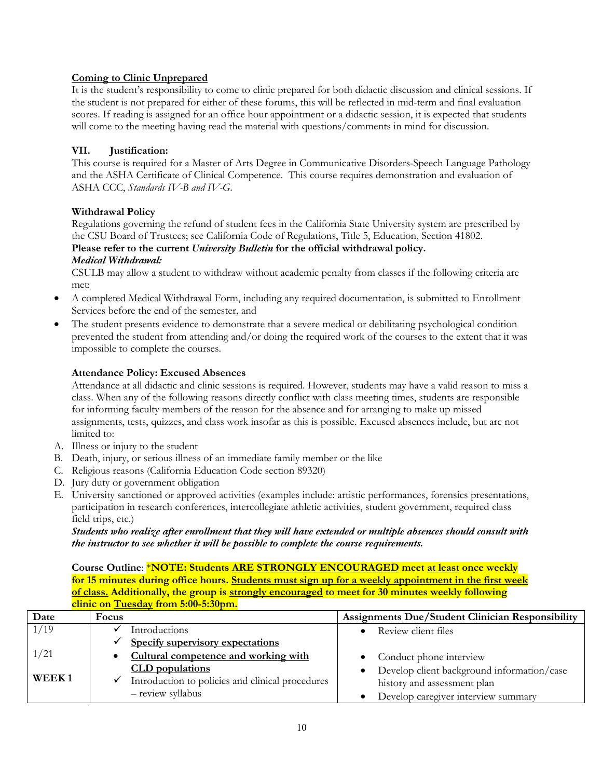# **Coming to Clinic Unprepared**

It is the student's responsibility to come to clinic prepared for both didactic discussion and clinical sessions. If the student is not prepared for either of these forums, this will be reflected in mid-term and final evaluation scores. If reading is assigned for an office hour appointment or a didactic session, it is expected that students will come to the meeting having read the material with questions/comments in mind for discussion.

# **VII. Justification:**

This course is required for a Master of Arts Degree in Communicative Disorders-Speech Language Pathology and the ASHA Certificate of Clinical Competence. This course requires demonstration and evaluation of ASHA CCC, *Standards IV-B and IV-G*.

# **Withdrawal Policy**

Regulations governing the refund of student fees in the California State University system are prescribed by the CSU Board of Trustees; see California Code of Regulations, Title 5, Education, Section 41802. **Please refer to the current** *University Bulletin* **for the official withdrawal policy.** 

# *Medical Withdrawal:*

CSULB may allow a student to withdraw without academic penalty from classes if the following criteria are met:

- A completed Medical Withdrawal Form, including any required documentation, is submitted to Enrollment Services before the end of the semester, and
- The student presents evidence to demonstrate that a severe medical or debilitating psychological condition prevented the student from attending and/or doing the required work of the courses to the extent that it was impossible to complete the courses.

# **Attendance Policy: Excused Absences**

Attendance at all didactic and clinic sessions is required. However, students may have a valid reason to miss a class. When any of the following reasons directly conflict with class meeting times, students are responsible for informing faculty members of the reason for the absence and for arranging to make up missed assignments, tests, quizzes, and class work insofar as this is possible. Excused absences include, but are not limited to:

- A. Illness or injury to the student
- B. Death, injury, or serious illness of an immediate family member or the like
- C. Religious reasons (California Education Code section 89320)
- D. Jury duty or government obligation
- E. University sanctioned or approved activities (examples include: artistic performances, forensics presentations, participation in research conferences, intercollegiate athletic activities, student government, required class field trips, etc.)

### *Students who realize after enrollment that they will have extended or multiple absences should consult with the instructor to see whether it will be possible to complete the course requirements.*

**Course Outline**: \***NOTE: Students ARE STRONGLY ENCOURAGED meet at least once weekly for 15 minutes during office hours. Students must sign up for a weekly appointment in the first week of class. Additionally, the group is strongly encouraged to meet for 30 minutes weekly following clinic on Tuesday from 5:00-5:30pm.**

| Date  | Focus                                            | Assignments Due/Student Clinician Responsibility |
|-------|--------------------------------------------------|--------------------------------------------------|
| 1/19  | Introductions                                    | Review client files                              |
|       | Specify supervisory expectations                 |                                                  |
| 1/21  | Cultural competence and working with             | Conduct phone interview                          |
|       | <b>CLD</b> populations                           | Develop client background information/case       |
| WEEK1 | Introduction to policies and clinical procedures | history and assessment plan                      |
|       | - review syllabus                                | Develop caregiver interview summary              |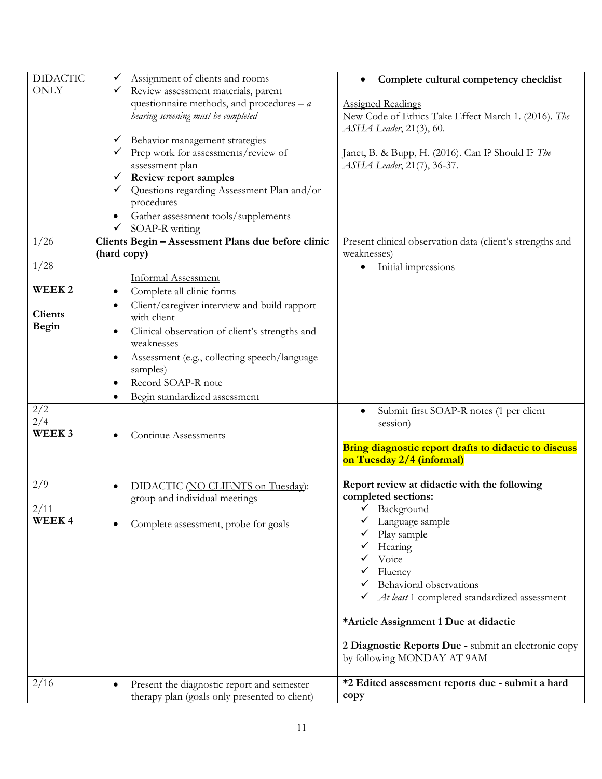| <b>DIDACTIC</b>   | Assignment of clients and rooms<br>✓               | Complete cultural competency checklist<br>$\bullet$       |
|-------------------|----------------------------------------------------|-----------------------------------------------------------|
| <b>ONLY</b>       | Review assessment materials, parent                |                                                           |
|                   | questionnaire methods, and procedures $-a$         | <b>Assigned Readings</b>                                  |
|                   | hearing screening must be completed                | New Code of Ethics Take Effect March 1. (2016). The       |
|                   |                                                    | ASHA Leader, 21(3), 60.                                   |
|                   | Behavior management strategies<br>v,               |                                                           |
|                   | Prep work for assessments/review of                | Janet, B. & Bupp, H. (2016). Can I? Should I? The         |
|                   | assessment plan                                    | <i>ASHA Leader</i> , 21(7), 36-37.                        |
|                   | Review report samples<br>$\checkmark$              |                                                           |
|                   | Questions regarding Assessment Plan and/or         |                                                           |
|                   | procedures                                         |                                                           |
|                   | Gather assessment tools/supplements                |                                                           |
|                   | SOAP-R writing                                     |                                                           |
| 1/26              | Clients Begin - Assessment Plans due before clinic | Present clinical observation data (client's strengths and |
|                   | (hard copy)                                        | weaknesses)                                               |
| 1/28              |                                                    | Initial impressions<br>٠                                  |
|                   | <b>Informal Assessment</b>                         |                                                           |
| WEEK <sub>2</sub> | Complete all clinic forms                          |                                                           |
|                   | Client/caregiver interview and build rapport       |                                                           |
| <b>Clients</b>    | with client                                        |                                                           |
| <b>Begin</b>      | Clinical observation of client's strengths and     |                                                           |
|                   | weaknesses                                         |                                                           |
|                   | Assessment (e.g., collecting speech/language       |                                                           |
|                   | samples)                                           |                                                           |
|                   | Record SOAP-R note                                 |                                                           |
|                   | Begin standardized assessment                      |                                                           |
| 2/2               |                                                    | Submit first SOAP-R notes (1 per client                   |
| 2/4               |                                                    | session)                                                  |
| WEEK <sub>3</sub> | Continue Assessments                               |                                                           |
|                   |                                                    | Bring diagnostic report drafts to didactic to discuss     |
|                   |                                                    | on Tuesday 2/4 (informal)                                 |
|                   |                                                    |                                                           |
| 2/9               | DIDACTIC (NO CLIENTS on Tuesday):<br>$\bullet$     | Report review at didactic with the following              |
|                   | group and individual meetings                      | completed sections:                                       |
| 2/11              |                                                    | $\checkmark$ Background                                   |
| WEEK4             | Complete assessment, probe for goals               | Language sample                                           |
|                   |                                                    | Play sample                                               |
|                   |                                                    | Hearing                                                   |
|                   |                                                    | Voice                                                     |
|                   |                                                    | Fluency                                                   |
|                   |                                                    | Behavioral observations                                   |
|                   |                                                    | At least 1 completed standardized assessment              |
|                   |                                                    |                                                           |
|                   |                                                    | *Article Assignment 1 Due at didactic                     |
|                   |                                                    |                                                           |
|                   |                                                    | 2 Diagnostic Reports Due - submit an electronic copy      |
|                   |                                                    | by following MONDAY AT 9AM                                |
|                   |                                                    |                                                           |
| 2/16              | Present the diagnostic report and semester         | *2 Edited assessment reports due - submit a hard          |
|                   | therapy plan (goals only presented to client)      | copy                                                      |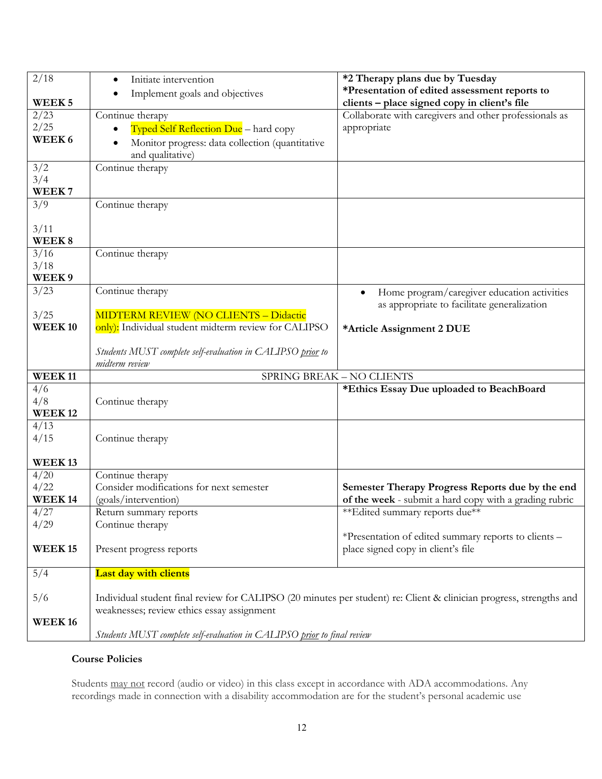| 2/18               | Initiate intervention<br>$\bullet$<br>Implement goals and objectives    | *2 Therapy plans due by Tuesday<br>*Presentation of edited assessment reports to                                    |
|--------------------|-------------------------------------------------------------------------|---------------------------------------------------------------------------------------------------------------------|
| WEEK <sub>5</sub>  |                                                                         | clients - place signed copy in client's file                                                                        |
| 2/23               | Continue therapy                                                        | Collaborate with caregivers and other professionals as                                                              |
| 2/25               | Typed Self Reflection Due - hard copy                                   | appropriate                                                                                                         |
| WEEK 6             | Monitor progress: data collection (quantitative                         |                                                                                                                     |
|                    | and qualitative)                                                        |                                                                                                                     |
| 3/2                | Continue therapy                                                        |                                                                                                                     |
| 3/4                |                                                                         |                                                                                                                     |
| WEEK7              |                                                                         |                                                                                                                     |
| 3/9                | Continue therapy                                                        |                                                                                                                     |
| 3/11               |                                                                         |                                                                                                                     |
| WEEK8              |                                                                         |                                                                                                                     |
| 3/16               | Continue therapy                                                        |                                                                                                                     |
| 3/18               |                                                                         |                                                                                                                     |
| WEEK9              |                                                                         |                                                                                                                     |
| 3/23               | Continue therapy                                                        | Home program/caregiver education activities<br>as appropriate to facilitate generalization                          |
| 3/25               | <b>MIDTERM REVIEW (NO CLIENTS - Didactic</b>                            |                                                                                                                     |
| <b>WEEK10</b>      | only): Individual student midterm review for CALIPSO                    | *Article Assignment 2 DUE                                                                                           |
|                    | Students MUST complete self-evaluation in CALIPSO prior to              |                                                                                                                     |
|                    | midterm review                                                          |                                                                                                                     |
| WEEK <sub>11</sub> |                                                                         | SPRING BREAK - NO CLIENTS                                                                                           |
| 4/6                |                                                                         | *Ethics Essay Due uploaded to BeachBoard                                                                            |
| 4/8                | Continue therapy                                                        |                                                                                                                     |
| <b>WEEK12</b>      |                                                                         |                                                                                                                     |
| 4/13<br>4/15       | Continue therapy                                                        |                                                                                                                     |
|                    |                                                                         |                                                                                                                     |
| <b>WEEK13</b>      |                                                                         |                                                                                                                     |
| 4/20               | Continue therapy                                                        |                                                                                                                     |
| 4/22               | Consider modifications for next semester                                | Semester Therapy Progress Reports due by the end                                                                    |
| <b>WEEK14</b>      | (goals/intervention)                                                    | of the week - submit a hard copy with a grading rubric                                                              |
| 4/27               | Return summary reports                                                  | ** Edited summary reports due**                                                                                     |
| 4/29               | Continue therapy                                                        |                                                                                                                     |
|                    |                                                                         | *Presentation of edited summary reports to clients -                                                                |
| <b>WEEK15</b>      | Present progress reports                                                | place signed copy in client's file                                                                                  |
| 5/4                | <b>Last day with clients</b>                                            |                                                                                                                     |
|                    |                                                                         |                                                                                                                     |
| 5/6                |                                                                         | Individual student final review for CALIPSO (20 minutes per student) re: Client & clinician progress, strengths and |
|                    | weaknesses; review ethics essay assignment                              |                                                                                                                     |
| <b>WEEK16</b>      |                                                                         |                                                                                                                     |
|                    | Students MUST complete self-evaluation in CALIPSO prior to final review |                                                                                                                     |

# **Course Policies**

Students may not record (audio or video) in this class except in accordance with ADA accommodations. Any recordings made in connection with a disability accommodation are for the student's personal academic use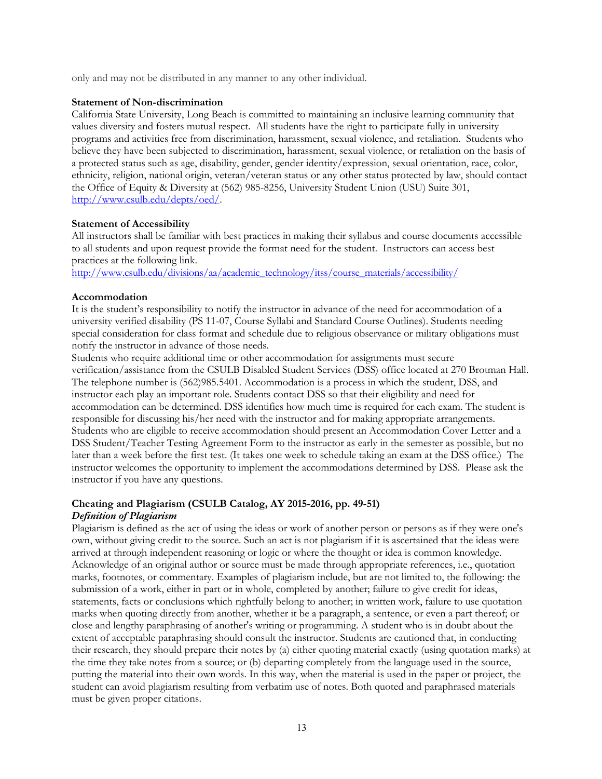only and may not be distributed in any manner to any other individual.

#### **Statement of Non-discrimination**

California State University, Long Beach is committed to maintaining an inclusive learning community that values diversity and fosters mutual respect. All students have the right to participate fully in university programs and activities free from discrimination, harassment, sexual violence, and retaliation. Students who believe they have been subjected to discrimination, harassment, sexual violence, or retaliation on the basis of a protected status such as age, disability, gender, gender identity/expression, sexual orientation, race, color, ethnicity, religion, national origin, veteran/veteran status or any other status protected by law, should contact the Office of Equity & Diversity at (562) 985-8256, University Student Union (USU) Suite 301, http://www.csulb.edu/depts/oed/.

### **Statement of Accessibility**

All instructors shall be familiar with best practices in making their syllabus and course documents accessible to all students and upon request provide the format need for the student. Instructors can access best practices at the following link.

http://www.csulb.edu/divisions/aa/academic\_technology/itss/course\_materials/accessibility/

### **Accommodation**

It is the student's responsibility to notify the instructor in advance of the need for accommodation of a university verified disability (PS 11-07, Course Syllabi and Standard Course Outlines). Students needing special consideration for class format and schedule due to religious observance or military obligations must notify the instructor in advance of those needs.

Students who require additional time or other accommodation for assignments must secure verification/assistance from the CSULB Disabled Student Services (DSS) office located at 270 Brotman Hall. The telephone number is (562)985.5401. Accommodation is a process in which the student, DSS, and instructor each play an important role. Students contact DSS so that their eligibility and need for accommodation can be determined. DSS identifies how much time is required for each exam. The student is responsible for discussing his/her need with the instructor and for making appropriate arrangements. Students who are eligible to receive accommodation should present an Accommodation Cover Letter and a DSS Student/Teacher Testing Agreement Form to the instructor as early in the semester as possible, but no later than a week before the first test. (It takes one week to schedule taking an exam at the DSS office.) The instructor welcomes the opportunity to implement the accommodations determined by DSS. Please ask the instructor if you have any questions.

# **Cheating and Plagiarism (CSULB Catalog, AY 2015-2016, pp. 49-51)**

# *Definition of Plagiarism*

Plagiarism is defined as the act of using the ideas or work of another person or persons as if they were one's own, without giving credit to the source. Such an act is not plagiarism if it is ascertained that the ideas were arrived at through independent reasoning or logic or where the thought or idea is common knowledge. Acknowledge of an original author or source must be made through appropriate references, i.e., quotation marks, footnotes, or commentary. Examples of plagiarism include, but are not limited to, the following: the submission of a work, either in part or in whole, completed by another; failure to give credit for ideas, statements, facts or conclusions which rightfully belong to another; in written work, failure to use quotation marks when quoting directly from another, whether it be a paragraph, a sentence, or even a part thereof; or close and lengthy paraphrasing of another's writing or programming. A student who is in doubt about the extent of acceptable paraphrasing should consult the instructor. Students are cautioned that, in conducting their research, they should prepare their notes by (a) either quoting material exactly (using quotation marks) at the time they take notes from a source; or (b) departing completely from the language used in the source, putting the material into their own words. In this way, when the material is used in the paper or project, the student can avoid plagiarism resulting from verbatim use of notes. Both quoted and paraphrased materials must be given proper citations.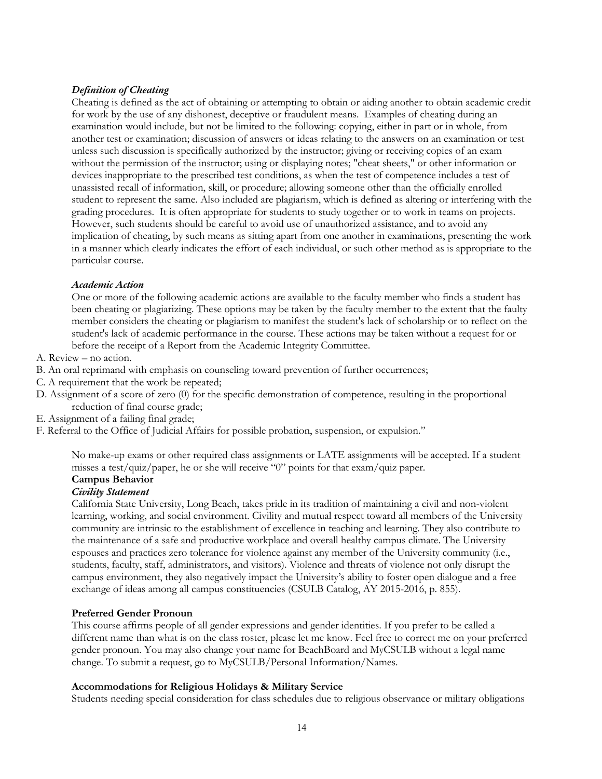# *Definition of Cheating*

Cheating is defined as the act of obtaining or attempting to obtain or aiding another to obtain academic credit for work by the use of any dishonest, deceptive or fraudulent means. Examples of cheating during an examination would include, but not be limited to the following: copying, either in part or in whole, from another test or examination; discussion of answers or ideas relating to the answers on an examination or test unless such discussion is specifically authorized by the instructor; giving or receiving copies of an exam without the permission of the instructor; using or displaying notes; "cheat sheets," or other information or devices inappropriate to the prescribed test conditions, as when the test of competence includes a test of unassisted recall of information, skill, or procedure; allowing someone other than the officially enrolled student to represent the same. Also included are plagiarism, which is defined as altering or interfering with the grading procedures. It is often appropriate for students to study together or to work in teams on projects. However, such students should be careful to avoid use of unauthorized assistance, and to avoid any implication of cheating, by such means as sitting apart from one another in examinations, presenting the work in a manner which clearly indicates the effort of each individual, or such other method as is appropriate to the particular course.

### *Academic Action*

One or more of the following academic actions are available to the faculty member who finds a student has been cheating or plagiarizing. These options may be taken by the faculty member to the extent that the faulty member considers the cheating or plagiarism to manifest the student's lack of scholarship or to reflect on the student's lack of academic performance in the course. These actions may be taken without a request for or before the receipt of a Report from the Academic Integrity Committee.

- A. Review no action.
- B. An oral reprimand with emphasis on counseling toward prevention of further occurrences;
- C. A requirement that the work be repeated;
- D. Assignment of a score of zero (0) for the specific demonstration of competence, resulting in the proportional reduction of final course grade;
- E. Assignment of a failing final grade;
- F. Referral to the Office of Judicial Affairs for possible probation, suspension, or expulsion."

No make-up exams or other required class assignments or LATE assignments will be accepted. If a student misses a test/quiz/paper, he or she will receive "0" points for that exam/quiz paper.

# **Campus Behavior**

### *Civility Statement*

California State University, Long Beach, takes pride in its tradition of maintaining a civil and non-violent learning, working, and social environment. Civility and mutual respect toward all members of the University community are intrinsic to the establishment of excellence in teaching and learning. They also contribute to the maintenance of a safe and productive workplace and overall healthy campus climate. The University espouses and practices zero tolerance for violence against any member of the University community (i.e., students, faculty, staff, administrators, and visitors). Violence and threats of violence not only disrupt the campus environment, they also negatively impact the University's ability to foster open dialogue and a free exchange of ideas among all campus constituencies (CSULB Catalog, AY 2015-2016, p. 855).

#### **Preferred Gender Pronoun**

This course affirms people of all gender expressions and gender identities. If you prefer to be called a different name than what is on the class roster, please let me know. Feel free to correct me on your preferred gender pronoun. You may also change your name for BeachBoard and MyCSULB without a legal name change. To submit a request, go to MyCSULB/Personal Information/Names.

#### **Accommodations for Religious Holidays & Military Service**

Students needing special consideration for class schedules due to religious observance or military obligations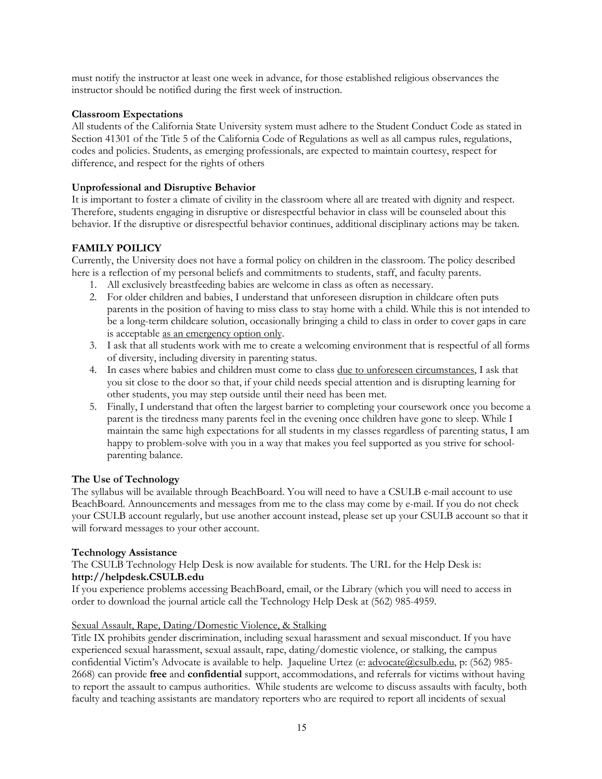must notify the instructor at least one week in advance, for those established religious observances the instructor should be notified during the first week of instruction.

### **Classroom Expectations**

All students of the California State University system must adhere to the Student Conduct Code as stated in Section 41301 of the Title 5 of the California Code of Regulations as well as all campus rules, regulations, codes and policies. Students, as emerging professionals, are expected to maintain courtesy, respect for difference, and respect for the rights of others

### **Unprofessional and Disruptive Behavior**

It is important to foster a climate of civility in the classroom where all are treated with dignity and respect. Therefore, students engaging in disruptive or disrespectful behavior in class will be counseled about this behavior. If the disruptive or disrespectful behavior continues, additional disciplinary actions may be taken.

### **FAMILY POILICY**

Currently, the University does not have a formal policy on children in the classroom. The policy described here is a reflection of my personal beliefs and commitments to students, staff, and faculty parents.

- 1. All exclusively breastfeeding babies are welcome in class as often as necessary.
- 2. For older children and babies, I understand that unforeseen disruption in childcare often puts parents in the position of having to miss class to stay home with a child. While this is not intended to be a long-term childcare solution, occasionally bringing a child to class in order to cover gaps in care is acceptable as an emergency option only.
- 3. I ask that all students work with me to create a welcoming environment that is respectful of all forms of diversity, including diversity in parenting status.
- 4. In cases where babies and children must come to class due to unforeseen circumstances, I ask that you sit close to the door so that, if your child needs special attention and is disrupting learning for other students, you may step outside until their need has been met.
- 5. Finally, I understand that often the largest barrier to completing your coursework once you become a parent is the tiredness many parents feel in the evening once children have gone to sleep. While I maintain the same high expectations for all students in my classes regardless of parenting status, I am happy to problem-solve with you in a way that makes you feel supported as you strive for schoolparenting balance.

# **The Use of Technology**

The syllabus will be available through BeachBoard. You will need to have a CSULB e-mail account to use BeachBoard. Announcements and messages from me to the class may come by e-mail. If you do not check your CSULB account regularly, but use another account instead, please set up your CSULB account so that it will forward messages to your other account.

#### **Technology Assistance**

The CSULB Technology Help Desk is now available for students. The URL for the Help Desk is: **http://helpdesk.CSULB.edu**

If you experience problems accessing BeachBoard, email, or the Library (which you will need to access in order to download the journal article call the Technology Help Desk at (562) 985-4959.

#### Sexual Assault, Rape, Dating/Domestic Violence, & Stalking

Title IX prohibits gender discrimination, including sexual harassment and sexual misconduct. If you have experienced sexual harassment, sexual assault, rape, dating/domestic violence, or stalking, the campus confidential Victim's Advocate is available to help. Jaqueline Urtez (e: advocate@csulb.edu, p: (562) 985- 2668) can provide **free** and **confidential** support, accommodations, and referrals for victims without having to report the assault to campus authorities. While students are welcome to discuss assaults with faculty, both faculty and teaching assistants are mandatory reporters who are required to report all incidents of sexual